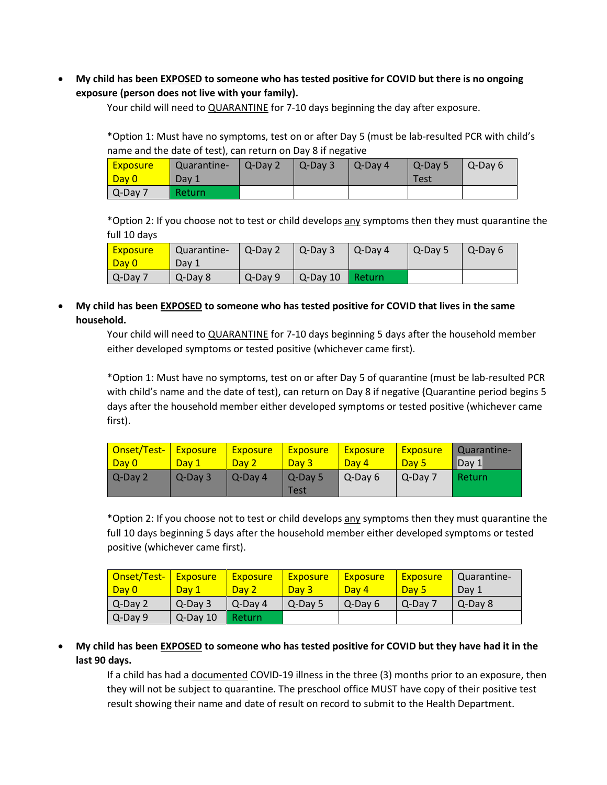• **My child has been EXPOSED to someone who has tested positive for COVID but there is no ongoing exposure (person does not live with your family).**

Your child will need to QUARANTINE for 7-10 days beginning the day after exposure.

\*Option 1: Must have no symptoms, test on or after Day 5 (must be lab-resulted PCR with child's name and the date of test), can return on Day 8 if negative

| <b>Exposure</b><br><mark>  Day 0</mark> | Quarantine-<br>Day 1 | Q-Day 2 | $Q$ -Dav 3 | Q-Day 4 | Q-Day 5<br>Test | $\blacksquare$ Q-Dav 6 |
|-----------------------------------------|----------------------|---------|------------|---------|-----------------|------------------------|
| $Q$ -Day 7                              | Return               |         |            |         |                 |                        |

\*Option 2: If you choose not to test or child develops any symptoms then they must quarantine the full 10 days

| <mark>  Exposure</mark><br>Day 0 | Quarantine-<br>Dav 1 | $Q-Day2$ | $\mathsf{Q}\text{-}\mathsf{Day}3$ | Q-Day 4  | $\overline{Q}$ -Day 5 | $\overline{1}$ Q-Dav 6 |
|----------------------------------|----------------------|----------|-----------------------------------|----------|-----------------------|------------------------|
| $Q$ -Day 7                       | Q-Day 8              | Q-Day 9  | $Q$ -Dav 10                       | l Return |                       |                        |

• **My child has been EXPOSED to someone who has tested positive for COVID that lives in the same household.**

> Your child will need to QUARANTINE for 7-10 days beginning 5 days after the household member either developed symptoms or tested positive (whichever came first).

\*Option 1: Must have no symptoms, test on or after Day 5 of quarantine (must be lab-resulted PCR with child's name and the date of test), can return on Day 8 if negative {Quarantine period begins 5 days after the household member either developed symptoms or tested positive (whichever came first).

| Onset/Test- Exposure | Day 1        | <b>Exposure</b> | <b>Exposure</b>   | <b>Exposure</b> | <b>Exposure</b> | Quarantine- |
|----------------------|--------------|-----------------|-------------------|-----------------|-----------------|-------------|
| Day 0                |              | Day 2           | Day 3             | Day 4           | Day 5           | Dav 1       |
| Q-Day 2              | $Q$ -Dav $3$ | l Q-Dav 4       | l Q-Dav 5<br>Test | Q-Day 6         | l Q-Dav 7       | Return      |

\*Option 2: If you choose not to test or child develops any symptoms then they must quarantine the full 10 days beginning 5 days after the household member either developed symptoms or tested positive (whichever came first).

| <mark>  Onset/Test-  </mark> | <b>Exposure</b> | <b>Exposure</b> | <b>Exposure</b> | <b>Exposure</b> | <b>Exposure</b> | Quarantine- |
|------------------------------|-----------------|-----------------|-----------------|-----------------|-----------------|-------------|
| l Dav 0                      | Dav 1           | Day 2           | Day 3           | Day 4           | Day 5           | Day 1       |
| $Q-Dav2$                     | $Q$ -Dav $3$    | l Q-Dav 4       | Q-Day 5         | Q-Day 6         | $Q$ -Day $7$    | Q-Day 8     |
| $Q$ -Day 9                   | $Q$ -Dav $101$  | Return          |                 |                 |                 |             |

• **My child has been EXPOSED to someone who has tested positive for COVID but they have had it in the last 90 days.**

If a child has had a documented COVID-19 illness in the three (3) months prior to an exposure, then they will not be subject to quarantine. The preschool office MUST have copy of their positive test result showing their name and date of result on record to submit to the Health Department.